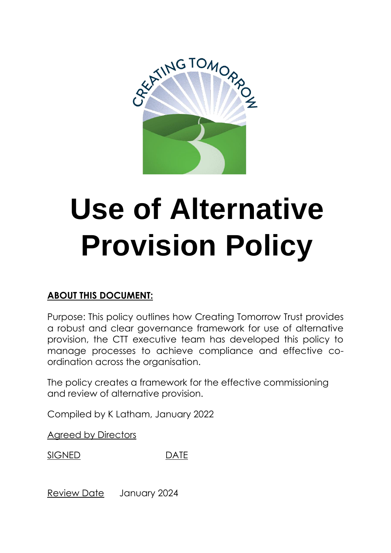

# **Use of Alternative Provision Policy**

# **ABOUT THIS DOCUMENT:**

Purpose: This policy outlines how Creating Tomorrow Trust provides a robust and clear governance framework for use of alternative provision, the CTT executive team has developed this policy to manage processes to achieve compliance and effective coordination across the organisation.

The policy creates a framework for the effective commissioning and review of alternative provision.

Compiled by K Latham, January 2022

Agreed by Directors

SIGNED DATE

Review Date January 2024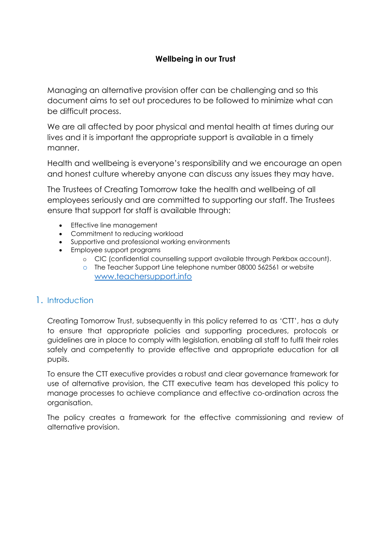# **Wellbeing in our Trust**

Managing an alternative provision offer can be challenging and so this document aims to set out procedures to be followed to minimize what can be difficult process.

We are all affected by poor physical and mental health at times during our lives and it is important the appropriate support is available in a timely manner.

Health and wellbeing is everyone's responsibility and we encourage an open and honest culture whereby anyone can discuss any issues they may have.

The Trustees of Creating Tomorrow take the health and wellbeing of all employees seriously and are committed to supporting our staff. The Trustees ensure that support for staff is available through:

- Effective line management
- Commitment to reducing workload
- Supportive and professional working environments
- Employee support programs
	- o CIC (confidential counselling support available through Perkbox account).
	- o The Teacher Support Line telephone number 08000 562561 or website [www.teachersupport.info](http://www.teachersupport.info/)

# 1. Introduction

Creating Tomorrow Trust, subsequently in this policy referred to as 'CTT', has a duty to ensure that appropriate policies and supporting procedures, protocols or guidelines are in place to comply with legislation, enabling all staff to fulfil their roles safely and competently to provide effective and appropriate education for all pupils.

To ensure the CTT executive provides a robust and clear governance framework for use of alternative provision, the CTT executive team has developed this policy to manage processes to achieve compliance and effective co-ordination across the organisation.

The policy creates a framework for the effective commissioning and review of alternative provision.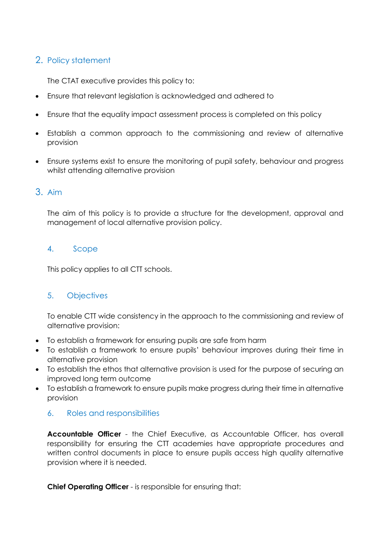# 2. Policy statement

The CTAT executive provides this policy to:

- Ensure that relevant legislation is acknowledged and adhered to
- Ensure that the equality impact assessment process is completed on this policy
- Establish a common approach to the commissioning and review of alternative provision
- Ensure systems exist to ensure the monitoring of pupil safety, behaviour and progress whilst attending alternative provision

# 3. Aim

The aim of this policy is to provide a structure for the development, approval and management of local alternative provision policy.

### 4. Scope

This policy applies to all CTT schools.

# 5. Objectives

To enable CTT wide consistency in the approach to the commissioning and review of alternative provision:

- To establish a framework for ensuring pupils are safe from harm
- To establish a framework to ensure pupils' behaviour improves during their time in alternative provision
- To establish the ethos that alternative provision is used for the purpose of securing an improved long term outcome
- To establish a framework to ensure pupils make progress during their time in alternative provision

# 6. Roles and responsibilities

**Accountable Officer** - the Chief Executive, as Accountable Officer, has overall responsibility for ensuring the CTT academies have appropriate procedures and written control documents in place to ensure pupils access high quality alternative provision where it is needed.

**Chief Operating Officer** - is responsible for ensuring that: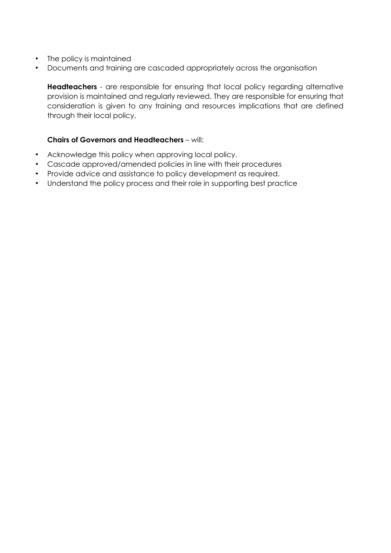- The policy is maintained
- Documents and training are cascaded appropriately across the organisation

**Headteachers** - are responsible for ensuring that local policy regarding alternative provision is maintained and regularly reviewed. They are responsible for ensuring that consideration is given to any training and resources implications that are defined through their local policy.

#### **Chairs of Governors and Headteachers** – will:

- Acknowledge this policy when approving local policy.
- Cascade approved/amended policies in line with their procedures
- Provide advice and assistance to policy development as required.
- Understand the policy process and their role in supporting best practice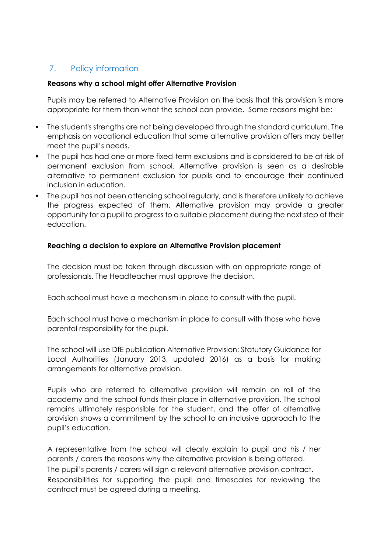# 7. Policy information

#### **Reasons why a school might offer Alternative Provision**

Pupils may be referred to Alternative Provision on the basis that this provision is more appropriate for them than what the school can provide. Some reasons might be:

- The student's strengths are not being developed through the standard curriculum. The emphasis on vocational education that some alternative provision offers may better meet the pupil's needs.
- The pupil has had one or more fixed-term exclusions and is considered to be at risk of permanent exclusion from school. Alternative provision is seen as a desirable alternative to permanent exclusion for pupils and to encourage their continued inclusion in education.
- The pupil has not been attending school regularly, and is therefore unlikely to achieve the progress expected of them. Alternative provision may provide a greater opportunity for a pupil to progress to a suitable placement during the next step of their education.

#### **Reaching a decision to explore an Alternative Provision placement**

The decision must be taken through discussion with an appropriate range of professionals. The Headteacher must approve the decision.

Each school must have a mechanism in place to consult with the pupil.

Each school must have a mechanism in place to consult with those who have parental responsibility for the pupil.

The school will use DfE publication Alternative Provision: Statutory Guidance for Local Authorities (January 2013, updated 2016) as a basis for making arrangements for alternative provision.

Pupils who are referred to alternative provision will remain on roll of the academy and the school funds their place in alternative provision. The school remains ultimately responsible for the student, and the offer of alternative provision shows a commitment by the school to an inclusive approach to the pupil's education.

A representative from the school will clearly explain to pupil and his / her parents / carers the reasons why the alternative provision is being offered. The pupil's parents / carers will sign a relevant alternative provision contract. Responsibilities for supporting the pupil and timescales for reviewing the contract must be agreed during a meeting.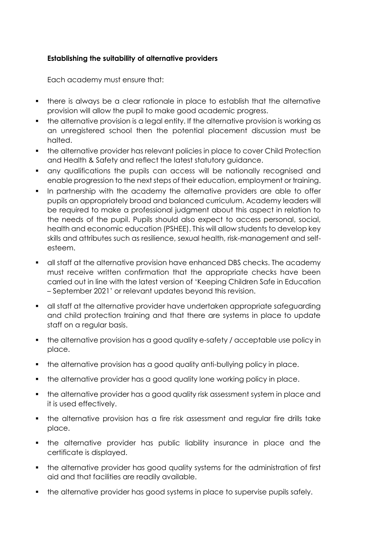### **Establishing the suitability of alternative providers**

Each academy must ensure that:

- there is always be a clear rationale in place to establish that the alternative provision will allow the pupil to make good academic progress.
- the alternative provision is a legal entity. If the alternative provision is working as an unregistered school then the potential placement discussion must be halted.
- the alternative provider has relevant policies in place to cover Child Protection and Health & Safety and reflect the latest statutory guidance.
- any qualifications the pupils can access will be nationally recognised and enable progression to the next steps of their education, employment or training.
- In partnership with the academy the alternative providers are able to offer pupils an appropriately broad and balanced curriculum. Academy leaders will be required to make a professional judgment about this aspect in relation to the needs of the pupil. Pupils should also expect to access personal, social, health and economic education (PSHEE). This will allow students to develop key skills and attributes such as resilience, sexual health, risk-management and selfesteem.
- all staff at the alternative provision have enhanced DBS checks. The academy must receive written confirmation that the appropriate checks have been carried out in line with the latest version of 'Keeping Children Safe in Education – September 2021' or relevant updates beyond this revision.
- all staff at the alternative provider have undertaken appropriate safeguarding and child protection training and that there are systems in place to update staff on a regular basis.
- the alternative provision has a good quality e-safety / acceptable use policy in place.
- the alternative provision has a good quality anti-bullying policy in place.
- the alternative provider has a good quality lone working policy in place.
- the alternative provider has a good quality risk assessment system in place and it is used effectively.
- the alternative provision has a fire risk assessment and regular fire drills take place.
- the alternative provider has public liability insurance in place and the certificate is displayed.
- the alternative provider has good quality systems for the administration of first aid and that facilities are readily available.
- the alternative provider has good systems in place to supervise pupils safely.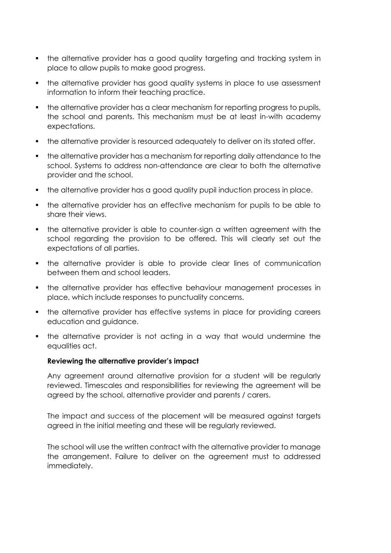- the alternative provider has a good quality targeting and tracking system in place to allow pupils to make good progress.
- the alternative provider has good quality systems in place to use assessment information to inform their teaching practice.
- the alternative provider has a clear mechanism for reporting progress to pupils, the school and parents. This mechanism must be at least in-with academy expectations.
- the alternative provider is resourced adequately to deliver on its stated offer.
- the alternative provider has a mechanism for reporting daily attendance to the school. Systems to address non-attendance are clear to both the alternative provider and the school.
- the alternative provider has a good quality pupil induction process in place.
- the alternative provider has an effective mechanism for pupils to be able to share their views.
- the alternative provider is able to counter-sign a written agreement with the school regarding the provision to be offered. This will clearly set out the expectations of all parties.
- the alternative provider is able to provide clear lines of communication between them and school leaders.
- the alternative provider has effective behaviour management processes in place, which include responses to punctuality concerns.
- the alternative provider has effective systems in place for providing careers education and guidance.
- the alternative provider is not acting in a way that would undermine the equalities act.

# **Reviewing the alternative provider's impact**

Any agreement around alternative provision for a student will be regularly reviewed. Timescales and responsibilities for reviewing the agreement will be agreed by the school, alternative provider and parents / carers.

The impact and success of the placement will be measured against targets agreed in the initial meeting and these will be regularly reviewed.

The school will use the written contract with the alternative provider to manage the arrangement. Failure to deliver on the agreement must to addressed immediately.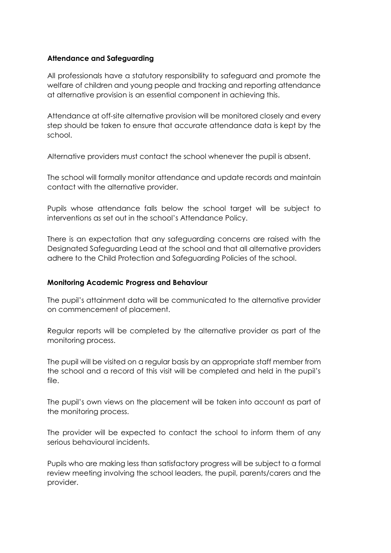#### **Attendance and Safeguarding**

All professionals have a statutory responsibility to safeguard and promote the welfare of children and young people and tracking and reporting attendance at alternative provision is an essential component in achieving this.

Attendance at off-site alternative provision will be monitored closely and every step should be taken to ensure that accurate attendance data is kept by the school.

Alternative providers must contact the school whenever the pupil is absent.

The school will formally monitor attendance and update records and maintain contact with the alternative provider.

Pupils whose attendance falls below the school target will be subject to interventions as set out in the school's Attendance Policy.

There is an expectation that any safeguarding concerns are raised with the Designated Safeguarding Lead at the school and that all alternative providers adhere to the Child Protection and Safeguarding Policies of the school.

#### **Monitoring Academic Progress and Behaviour**

The pupil's attainment data will be communicated to the alternative provider on commencement of placement.

Regular reports will be completed by the alternative provider as part of the monitoring process.

The pupil will be visited on a regular basis by an appropriate staff member from the school and a record of this visit will be completed and held in the pupil's file.

The pupil's own views on the placement will be taken into account as part of the monitoring process.

The provider will be expected to contact the school to inform them of any serious behavioural incidents.

Pupils who are making less than satisfactory progress will be subject to a formal review meeting involving the school leaders, the pupil, parents/carers and the provider.